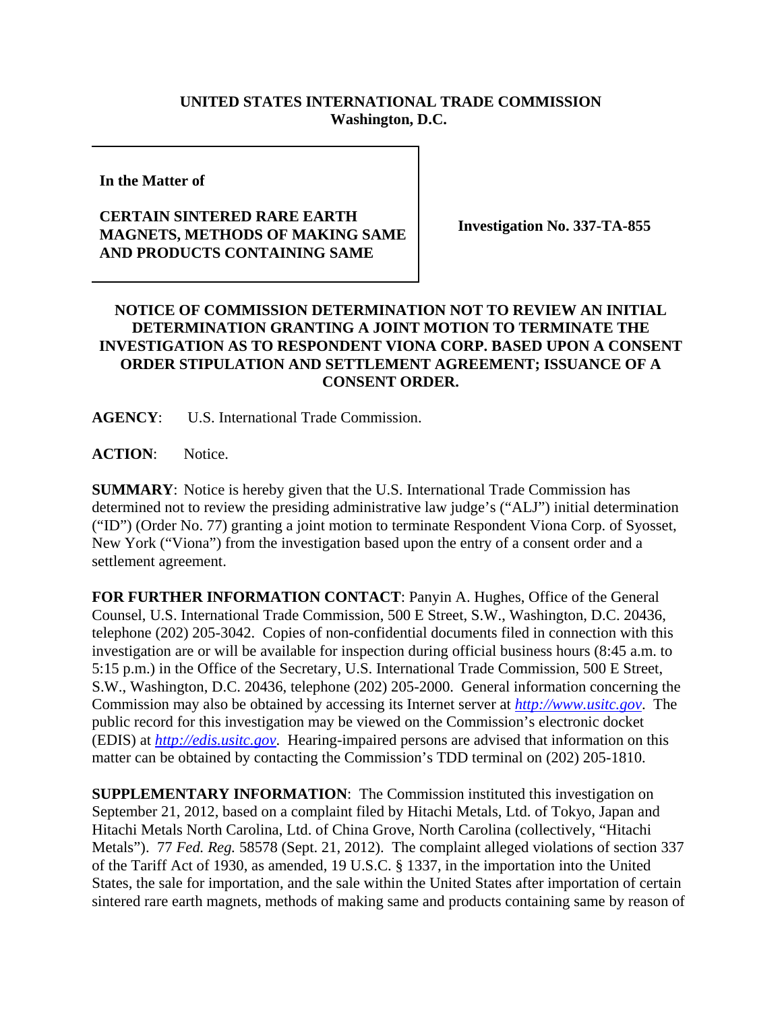## **UNITED STATES INTERNATIONAL TRADE COMMISSION Washington, D.C.**

**In the Matter of** 

## **CERTAIN SINTERED RARE EARTH MAGNETS, METHODS OF MAKING SAME AND PRODUCTS CONTAINING SAME**

**Investigation No. 337-TA-855**

## **NOTICE OF COMMISSION DETERMINATION NOT TO REVIEW AN INITIAL DETERMINATION GRANTING A JOINT MOTION TO TERMINATE THE INVESTIGATION AS TO RESPONDENT VIONA CORP. BASED UPON A CONSENT ORDER STIPULATION AND SETTLEMENT AGREEMENT; ISSUANCE OF A CONSENT ORDER.**

**AGENCY**: U.S. International Trade Commission.

**ACTION**: Notice.

**SUMMARY**: Notice is hereby given that the U.S. International Trade Commission has determined not to review the presiding administrative law judge's ("ALJ") initial determination ("ID") (Order No. 77) granting a joint motion to terminate Respondent Viona Corp. of Syosset, New York ("Viona") from the investigation based upon the entry of a consent order and a settlement agreement.

**FOR FURTHER INFORMATION CONTACT**: Panyin A. Hughes, Office of the General Counsel, U.S. International Trade Commission, 500 E Street, S.W., Washington, D.C. 20436, telephone (202) 205-3042. Copies of non-confidential documents filed in connection with this investigation are or will be available for inspection during official business hours (8:45 a.m. to 5:15 p.m.) in the Office of the Secretary, U.S. International Trade Commission, 500 E Street, S.W., Washington, D.C. 20436, telephone (202) 205-2000. General information concerning the Commission may also be obtained by accessing its Internet server at *http://www.usitc.gov*. The public record for this investigation may be viewed on the Commission's electronic docket (EDIS) at *http://edis.usitc.gov*. Hearing-impaired persons are advised that information on this matter can be obtained by contacting the Commission's TDD terminal on (202) 205-1810.

**SUPPLEMENTARY INFORMATION**: The Commission instituted this investigation on September 21, 2012, based on a complaint filed by Hitachi Metals, Ltd. of Tokyo, Japan and Hitachi Metals North Carolina, Ltd. of China Grove, North Carolina (collectively, "Hitachi Metals"). 77 *Fed. Reg.* 58578 (Sept. 21, 2012). The complaint alleged violations of section 337 of the Tariff Act of 1930, as amended, 19 U.S.C. § 1337, in the importation into the United States, the sale for importation, and the sale within the United States after importation of certain sintered rare earth magnets, methods of making same and products containing same by reason of